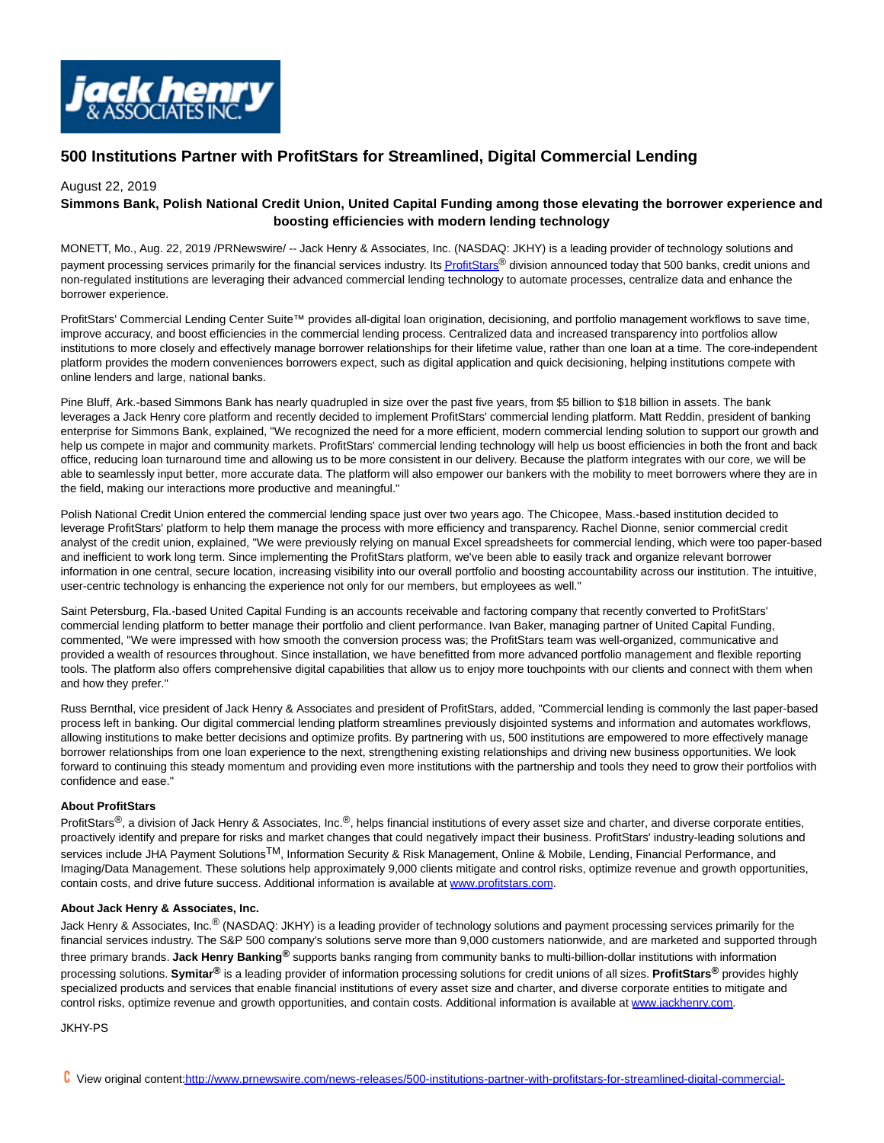

# **500 Institutions Partner with ProfitStars for Streamlined, Digital Commercial Lending**

### August 22, 2019

## **Simmons Bank, Polish National Credit Union, United Capital Funding among those elevating the borrower experience and boosting efficiencies with modern lending technology**

MONETT, Mo., Aug. 22, 2019 /PRNewswire/ -- Jack Henry & Associates, Inc. (NASDAQ: JKHY) is a leading provider of technology solutions and payment processing services primarily for the financial services industry. It[s ProfitStars](https://c212.net/c/link/?t=0&l=en&o=2558070-1&h=3719895334&u=http%3A%2F%2Fwww.profitstars.com%2Fpages%2Fdefault.aspx&a=ProfitStars)® division announced today that 500 banks, credit unions and non-regulated institutions are leveraging their advanced commercial lending technology to automate processes, centralize data and enhance the borrower experience.

ProfitStars' Commercial Lending Center Suite™ provides all-digital loan origination, decisioning, and portfolio management workflows to save time, improve accuracy, and boost efficiencies in the commercial lending process. Centralized data and increased transparency into portfolios allow institutions to more closely and effectively manage borrower relationships for their lifetime value, rather than one loan at a time. The core-independent platform provides the modern conveniences borrowers expect, such as digital application and quick decisioning, helping institutions compete with online lenders and large, national banks.

Pine Bluff, Ark.-based Simmons Bank has nearly quadrupled in size over the past five years, from \$5 billion to \$18 billion in assets. The bank leverages a Jack Henry core platform and recently decided to implement ProfitStars' commercial lending platform. Matt Reddin, president of banking enterprise for Simmons Bank, explained, "We recognized the need for a more efficient, modern commercial lending solution to support our growth and help us compete in major and community markets. ProfitStars' commercial lending technology will help us boost efficiencies in both the front and back office, reducing loan turnaround time and allowing us to be more consistent in our delivery. Because the platform integrates with our core, we will be able to seamlessly input better, more accurate data. The platform will also empower our bankers with the mobility to meet borrowers where they are in the field, making our interactions more productive and meaningful."

Polish National Credit Union entered the commercial lending space just over two years ago. The Chicopee, Mass.-based institution decided to leverage ProfitStars' platform to help them manage the process with more efficiency and transparency. Rachel Dionne, senior commercial credit analyst of the credit union, explained, "We were previously relying on manual Excel spreadsheets for commercial lending, which were too paper-based and inefficient to work long term. Since implementing the ProfitStars platform, we've been able to easily track and organize relevant borrower information in one central, secure location, increasing visibility into our overall portfolio and boosting accountability across our institution. The intuitive, user-centric technology is enhancing the experience not only for our members, but employees as well."

Saint Petersburg, Fla.-based United Capital Funding is an accounts receivable and factoring company that recently converted to ProfitStars' commercial lending platform to better manage their portfolio and client performance. Ivan Baker, managing partner of United Capital Funding, commented, "We were impressed with how smooth the conversion process was; the ProfitStars team was well-organized, communicative and provided a wealth of resources throughout. Since installation, we have benefitted from more advanced portfolio management and flexible reporting tools. The platform also offers comprehensive digital capabilities that allow us to enjoy more touchpoints with our clients and connect with them when and how they prefer."

Russ Bernthal, vice president of Jack Henry & Associates and president of ProfitStars, added, "Commercial lending is commonly the last paper-based process left in banking. Our digital commercial lending platform streamlines previously disjointed systems and information and automates workflows, allowing institutions to make better decisions and optimize profits. By partnering with us, 500 institutions are empowered to more effectively manage borrower relationships from one loan experience to the next, strengthening existing relationships and driving new business opportunities. We look forward to continuing this steady momentum and providing even more institutions with the partnership and tools they need to grow their portfolios with confidence and ease."

#### **About ProfitStars**

ProfitStars<sup>®</sup>, a division of Jack Henry & Associates, Inc.<sup>®</sup>, helps financial institutions of every asset size and charter, and diverse corporate entities, proactively identify and prepare for risks and market changes that could negatively impact their business. ProfitStars' industry-leading solutions and services include JHA Payment Solutions<sup>TM</sup>, Information Security & Risk Management, Online & Mobile, Lending, Financial Performance, and Imaging/Data Management. These solutions help approximately 9,000 clients mitigate and control risks, optimize revenue and growth opportunities, contain costs, and drive future success. Additional information is available at [www.profitstars.com.](https://c212.net/c/link/?t=0&l=en&o=2558070-1&h=1826153364&u=http%3A%2F%2Fwww.profitstars.com%2F&a=www.profitstars.com)

#### **About Jack Henry & Associates, Inc.**

Jack Henry & Associates, Inc.<sup>®</sup> (NASDAQ: JKHY) is a leading provider of technology solutions and payment processing services primarily for the financial services industry. The S&P 500 company's solutions serve more than 9,000 customers nationwide, and are marketed and supported through three primary brands. **Jack Henry Banking®** supports banks ranging from community banks to multi-billion-dollar institutions with information processing solutions. **Symitar®** is a leading provider of information processing solutions for credit unions of all sizes. **ProfitStars®** provides highly specialized products and services that enable financial institutions of every asset size and charter, and diverse corporate entities to mitigate and control risks, optimize revenue and growth opportunities, and contain costs. Additional information is available at [www.jackhenry.com.](https://c212.net/c/link/?t=0&l=en&o=2558070-1&h=2180278136&u=http%3A%2F%2Fwww.jackhenry.com%2F&a=www.jackhenry.com)

#### JKHY-PS